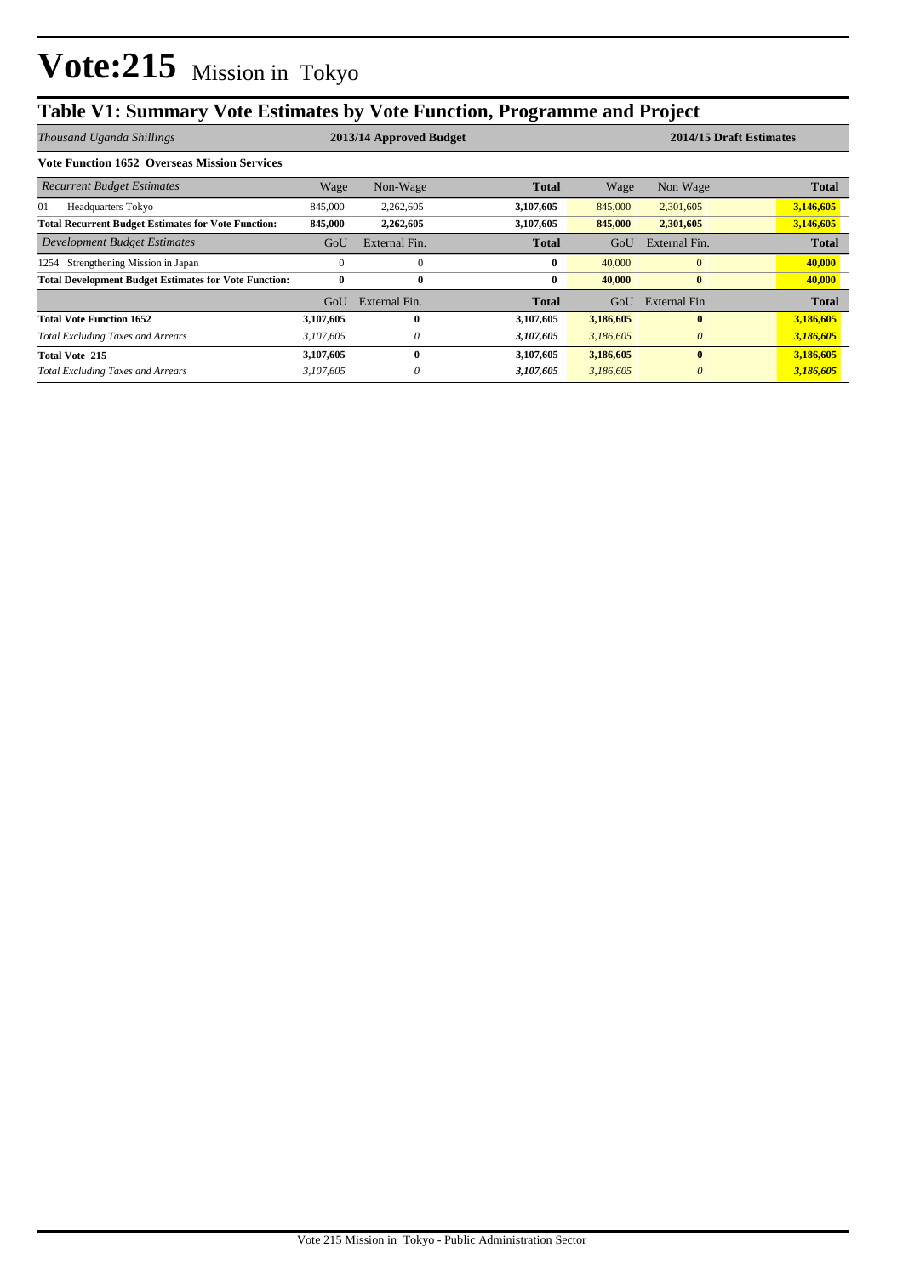# **Table V1: Summary Vote Estimates by Vote Function, Programme and Project**

| Thousand Uganda Shillings                                    | 2013/14 Approved Budget |               |              |           | 2014/15 Draft Estimates |              |  |  |
|--------------------------------------------------------------|-------------------------|---------------|--------------|-----------|-------------------------|--------------|--|--|
| <b>Vote Function 1652 Overseas Mission Services</b>          |                         |               |              |           |                         |              |  |  |
| <b>Recurrent Budget Estimates</b>                            | Wage                    | Non-Wage      | <b>Total</b> | Wage      | Non Wage                | <b>Total</b> |  |  |
| 01<br><b>Headquarters Tokyo</b>                              | 845,000                 | 2,262,605     | 3,107,605    | 845,000   | 2,301,605               | 3,146,605    |  |  |
| <b>Total Recurrent Budget Estimates for Vote Function:</b>   | 845,000                 | 2,262,605     | 3,107,605    | 845,000   | 2,301,605               | 3,146,605    |  |  |
| Development Budget Estimates                                 | GoU                     | External Fin. | <b>Total</b> | GoU       | External Fin.           | <b>Total</b> |  |  |
| Strengthening Mission in Japan<br>1254                       | 0                       | $\Omega$      | $\bf{0}$     | 40,000    | $\mathbf{0}$            | 40,000       |  |  |
| <b>Total Development Budget Estimates for Vote Function:</b> | $\bf{0}$                | $\bf{0}$      | $\bf{0}$     | 40,000    | $\bf{0}$                | 40,000       |  |  |
|                                                              | GoU                     | External Fin. | <b>Total</b> | GoU       | External Fin            | <b>Total</b> |  |  |
| <b>Total Vote Function 1652</b>                              | 3,107,605               | $\mathbf{0}$  | 3,107,605    | 3,186,605 | $\bf{0}$                | 3,186,605    |  |  |
| <b>Total Excluding Taxes and Arrears</b>                     | 3,107,605               | $\theta$      | 3,107,605    | 3,186,605 | $\theta$                | 3,186,605    |  |  |
| <b>Total Vote 215</b>                                        | 3,107,605               | $\mathbf{0}$  | 3,107,605    | 3,186,605 | $\mathbf{0}$            | 3,186,605    |  |  |
| <b>Total Excluding Taxes and Arrears</b>                     | 3,107,605               | $\theta$      | 3,107,605    | 3,186,605 | $\theta$                | 3,186,605    |  |  |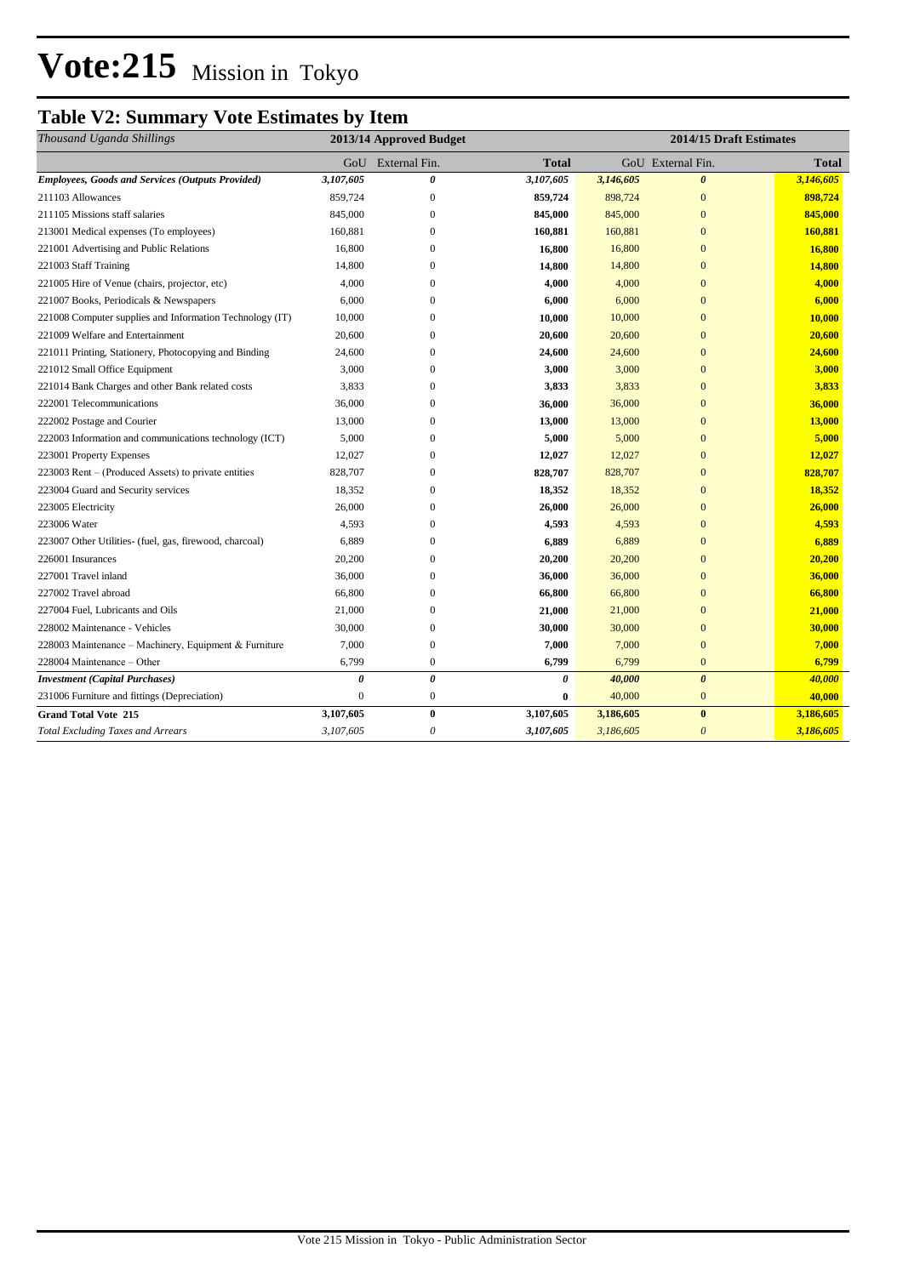# **Vote:215** Mission in Tokyo

### **Table V2: Summary Vote Estimates by Item**

| Thousand Uganda Shillings                                | 2013/14 Approved Budget |                  |           | 2014/15 Draft Estimates |                       |              |
|----------------------------------------------------------|-------------------------|------------------|-----------|-------------------------|-----------------------|--------------|
|                                                          | GoU                     | External Fin.    | Total     |                         | GoU External Fin.     | <b>Total</b> |
| <b>Employees, Goods and Services (Outputs Provided)</b>  | 3,107,605               | 0                | 3,107,605 | 3,146,605               | $\boldsymbol{\theta}$ | 3,146,605    |
| 211103 Allowances                                        | 859,724                 | $\mathbf{0}$     | 859,724   | 898,724                 | $\overline{0}$        | 898,724      |
| 211105 Missions staff salaries                           | 845,000                 | $\boldsymbol{0}$ | 845,000   | 845,000                 | $\overline{0}$        | 845,000      |
| 213001 Medical expenses (To employees)                   | 160,881                 | $\mathbf{0}$     | 160,881   | 160,881                 | $\overline{0}$        | 160,881      |
| 221001 Advertising and Public Relations                  | 16,800                  | $\mathbf{0}$     | 16,800    | 16,800                  | $\overline{0}$        | 16,800       |
| 221003 Staff Training                                    | 14,800                  | $\mathbf{0}$     | 14,800    | 14,800                  | $\overline{0}$        | 14,800       |
| 221005 Hire of Venue (chairs, projector, etc)            | 4,000                   | $\mathbf{0}$     | 4,000     | 4,000                   | $\overline{0}$        | 4,000        |
| 221007 Books, Periodicals & Newspapers                   | 6,000                   | $\mathbf{0}$     | 6,000     | 6,000                   | $\overline{0}$        | 6,000        |
| 221008 Computer supplies and Information Technology (IT) | 10,000                  | $\mathbf{0}$     | 10,000    | 10,000                  | $\overline{0}$        | 10,000       |
| 221009 Welfare and Entertainment                         | 20,600                  | $\mathbf{0}$     | 20,600    | 20,600                  | $\overline{0}$        | 20,600       |
| 221011 Printing, Stationery, Photocopying and Binding    | 24,600                  | $\mathbf{0}$     | 24,600    | 24,600                  | $\overline{0}$        | 24,600       |
| 221012 Small Office Equipment                            | 3,000                   | $\mathbf{0}$     | 3,000     | 3,000                   | $\overline{0}$        | 3,000        |
| 221014 Bank Charges and other Bank related costs         | 3,833                   | $\mathbf{0}$     | 3,833     | 3,833                   | $\overline{0}$        | 3,833        |
| 222001 Telecommunications                                | 36,000                  | $\boldsymbol{0}$ | 36,000    | 36,000                  | $\overline{0}$        | 36,000       |
| 222002 Postage and Courier                               | 13,000                  | $\boldsymbol{0}$ | 13,000    | 13,000                  | $\overline{0}$        | 13,000       |
| 222003 Information and communications technology (ICT)   | 5,000                   | $\boldsymbol{0}$ | 5,000     | 5,000                   | $\overline{0}$        | 5,000        |
| 223001 Property Expenses                                 | 12,027                  | $\mathbf{0}$     | 12,027    | 12,027                  | $\overline{0}$        | 12,027       |
| 223003 Rent – (Produced Assets) to private entities      | 828,707                 | $\boldsymbol{0}$ | 828,707   | 828,707                 | $\bf{0}$              | 828,707      |
| 223004 Guard and Security services                       | 18,352                  | $\boldsymbol{0}$ | 18,352    | 18,352                  | $\overline{0}$        | 18,352       |
| 223005 Electricity                                       | 26,000                  | $\boldsymbol{0}$ | 26,000    | 26,000                  | $\bf{0}$              | 26,000       |
| 223006 Water                                             | 4,593                   | $\boldsymbol{0}$ | 4,593     | 4,593                   | $\bf{0}$              | 4,593        |
| 223007 Other Utilities- (fuel, gas, firewood, charcoal)  | 6,889                   | $\mathbf{0}$     | 6,889     | 6,889                   | $\overline{0}$        | 6,889        |
| 226001 Insurances                                        | 20,200                  | $\mathbf{0}$     | 20,200    | 20,200                  | $\overline{0}$        | 20,200       |
| 227001 Travel inland                                     | 36,000                  | $\mathbf{0}$     | 36,000    | 36,000                  | $\overline{0}$        | 36,000       |
| 227002 Travel abroad                                     | 66,800                  | $\mathbf{0}$     | 66,800    | 66,800                  | $\overline{0}$        | 66,800       |
| 227004 Fuel. Lubricants and Oils                         | 21,000                  | $\mathbf{0}$     | 21,000    | 21,000                  | $\overline{0}$        | 21,000       |
| 228002 Maintenance - Vehicles                            | 30,000                  | $\mathbf{0}$     | 30,000    | 30,000                  | $\overline{0}$        | 30,000       |
| 228003 Maintenance - Machinery, Equipment & Furniture    | 7,000                   | $\mathbf{0}$     | 7,000     | 7,000                   | $\overline{0}$        | 7,000        |
| 228004 Maintenance - Other                               | 6,799                   | $\boldsymbol{0}$ | 6,799     | 6,799                   | $\overline{0}$        | 6,799        |
| <b>Investment</b> (Capital Purchases)                    | $\theta$                | 0                | 0         | 40,000                  | $\theta$              | 40,000       |
| 231006 Furniture and fittings (Depreciation)             | $\mathbf{0}$            | $\boldsymbol{0}$ | $\bf{0}$  | 40,000                  | $\mathbf{0}$          | 40,000       |
| <b>Grand Total Vote 215</b>                              | 3,107,605               | $\bf{0}$         | 3,107,605 | 3,186,605               | $\bf{0}$              | 3,186,605    |
| <b>Total Excluding Taxes and Arrears</b>                 | 3,107,605               | 0                | 3,107,605 | 3,186,605               | $\theta$              | 3,186,605    |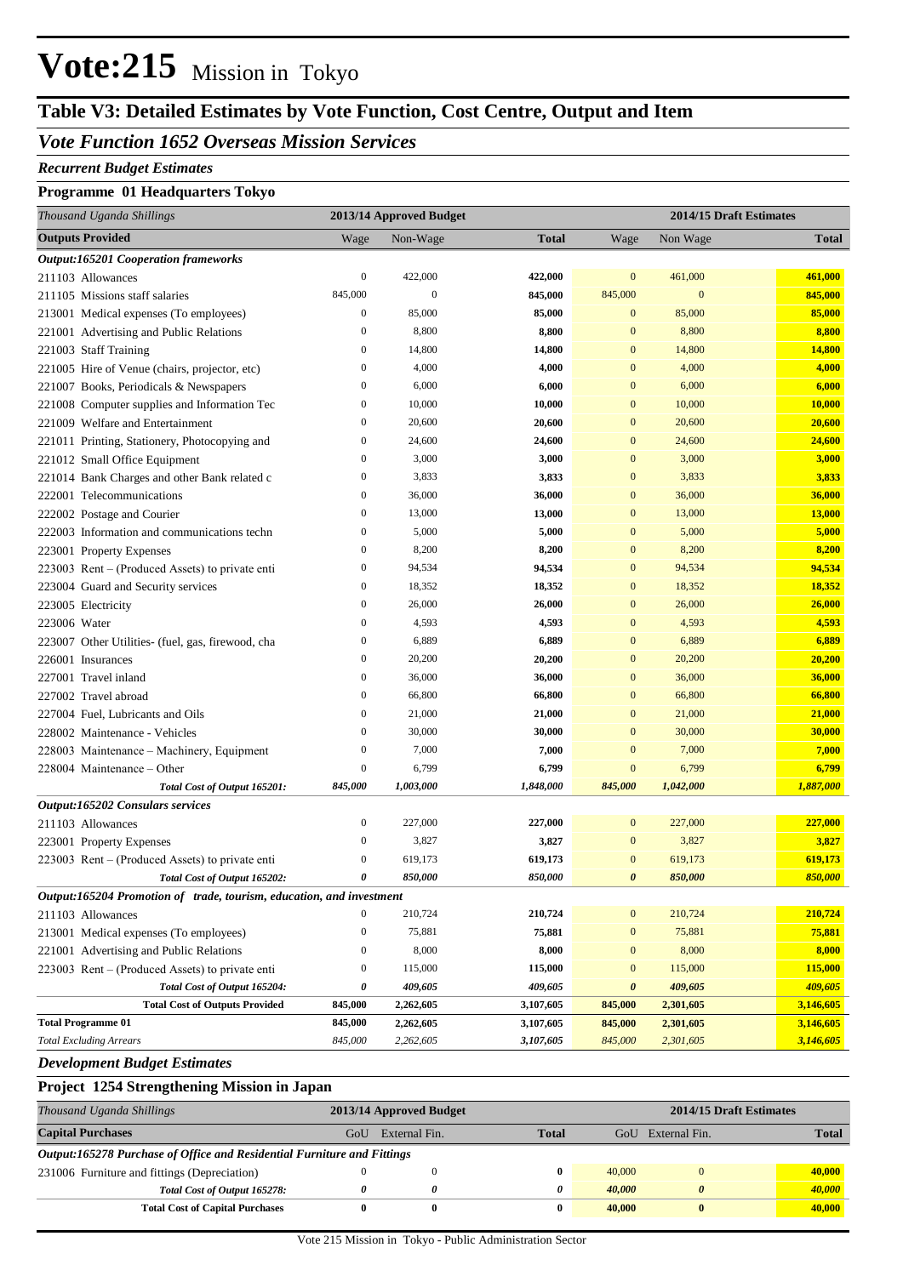# **Vote:215** Mission in Tokyo

## **Table V3: Detailed Estimates by Vote Function, Cost Centre, Output and Item**

### *Vote Function 1652 Overseas Mission Services*

#### *Recurrent Budget Estimates*

#### **Programme 01 Headquarters Tokyo**

| Thousand Uganda Shillings                                            |                  | 2013/14 Approved Budget |              | 2014/15 Draft Estimates |                  |              |
|----------------------------------------------------------------------|------------------|-------------------------|--------------|-------------------------|------------------|--------------|
| <b>Outputs Provided</b>                                              | Wage             | Non-Wage                | <b>Total</b> | Wage                    | Non Wage         | <b>Total</b> |
| <b>Output:165201 Cooperation frameworks</b>                          |                  |                         |              |                         |                  |              |
| 211103 Allowances                                                    | $\boldsymbol{0}$ | 422,000                 | 422,000      | $\mathbf{0}$            | 461,000          | 461,000      |
| 211105 Missions staff salaries                                       | 845,000          | $\mathbf{0}$            | 845,000      | 845,000                 | $\boldsymbol{0}$ | 845,000      |
| 213001 Medical expenses (To employees)                               | $\boldsymbol{0}$ | 85,000                  | 85,000       | $\mathbf{0}$            | 85,000           | 85,000       |
| 221001 Advertising and Public Relations                              | $\boldsymbol{0}$ | 8,800                   | 8,800        | $\mathbf{0}$            | 8,800            | 8,800        |
| 221003 Staff Training                                                | $\boldsymbol{0}$ | 14,800                  | 14,800       | $\mathbf{0}$            | 14,800           | 14,800       |
| 221005 Hire of Venue (chairs, projector, etc)                        | $\boldsymbol{0}$ | 4,000                   | 4,000        | $\mathbf{0}$            | 4,000            | 4,000        |
| 221007 Books, Periodicals & Newspapers                               | $\boldsymbol{0}$ | 6,000                   | 6,000        | $\mathbf{0}$            | 6,000            | 6,000        |
| 221008 Computer supplies and Information Tec                         | $\boldsymbol{0}$ | 10,000                  | 10,000       | $\mathbf{0}$            | 10,000           | 10,000       |
| 221009 Welfare and Entertainment                                     | $\boldsymbol{0}$ | 20,600                  | 20,600       | $\mathbf{0}$            | 20,600           | 20,600       |
| 221011 Printing, Stationery, Photocopying and                        | $\boldsymbol{0}$ | 24,600                  | 24,600       | $\mathbf{0}$            | 24,600           | 24,600       |
| 221012 Small Office Equipment                                        | $\boldsymbol{0}$ | 3,000                   | 3,000        | $\mathbf{0}$            | 3,000            | 3,000        |
| 221014 Bank Charges and other Bank related c                         | $\boldsymbol{0}$ | 3,833                   | 3,833        | $\mathbf{0}$            | 3,833            | 3,833        |
| 222001 Telecommunications                                            | $\boldsymbol{0}$ | 36,000                  | 36,000       | $\mathbf{0}$            | 36,000           | 36,000       |
| 222002 Postage and Courier                                           | $\boldsymbol{0}$ | 13,000                  | 13,000       | $\mathbf{0}$            | 13,000           | 13,000       |
| 222003 Information and communications techn                          | $\boldsymbol{0}$ | 5,000                   | 5,000        | $\mathbf{0}$            | 5,000            | 5,000        |
| 223001 Property Expenses                                             | $\boldsymbol{0}$ | 8,200                   | 8,200        | $\mathbf{0}$            | 8,200            | 8,200        |
| 223003 Rent – (Produced Assets) to private enti                      | $\boldsymbol{0}$ | 94,534                  | 94,534       | $\mathbf{0}$            | 94,534           | 94,534       |
| 223004 Guard and Security services                                   | $\boldsymbol{0}$ | 18,352                  | 18,352       | $\mathbf{0}$            | 18,352           | 18,352       |
| 223005 Electricity                                                   | $\boldsymbol{0}$ | 26,000                  | 26,000       | $\mathbf{0}$            | 26,000           | 26,000       |
| 223006 Water                                                         | $\boldsymbol{0}$ | 4,593                   | 4,593        | $\mathbf{0}$            | 4,593            | 4,593        |
| 223007 Other Utilities- (fuel, gas, firewood, cha                    | $\boldsymbol{0}$ | 6,889                   | 6,889        | $\mathbf{0}$            | 6,889            | 6,889        |
| 226001 Insurances                                                    | $\boldsymbol{0}$ | 20,200                  | 20,200       | $\mathbf{0}$            | 20,200           | 20,200       |
| 227001 Travel inland                                                 | $\boldsymbol{0}$ | 36,000                  | 36,000       | $\mathbf{0}$            | 36,000           | 36,000       |
| 227002 Travel abroad                                                 | $\boldsymbol{0}$ | 66,800                  | 66,800       | $\mathbf{0}$            | 66,800           | 66,800       |
| 227004 Fuel, Lubricants and Oils                                     | $\boldsymbol{0}$ | 21,000                  | 21,000       | $\mathbf{0}$            | 21,000           | 21,000       |
| 228002 Maintenance - Vehicles                                        | $\boldsymbol{0}$ | 30,000                  | 30,000       | $\mathbf{0}$            | 30,000           | 30,000       |
| 228003 Maintenance - Machinery, Equipment                            | $\boldsymbol{0}$ | 7,000                   | 7,000        | $\mathbf{0}$            | 7,000            | 7,000        |
| 228004 Maintenance – Other                                           | $\boldsymbol{0}$ | 6,799                   | 6,799        | $\mathbf{0}$            | 6,799            | 6,799        |
| Total Cost of Output 165201:                                         | 845,000          | 1,003,000               | 1,848,000    | 845,000                 | 1,042,000        | 1,887,000    |
| Output:165202 Consulars services                                     |                  |                         |              |                         |                  |              |
| 211103 Allowances                                                    | $\boldsymbol{0}$ | 227,000                 | 227,000      | $\boldsymbol{0}$        | 227,000          | 227,000      |
| 223001 Property Expenses                                             | $\boldsymbol{0}$ | 3,827                   | 3,827        | $\mathbf{0}$            | 3,827            | 3,827        |
| 223003 Rent – (Produced Assets) to private enti                      | $\boldsymbol{0}$ | 619,173                 | 619,173      | $\mathbf{0}$            | 619,173          | 619,173      |
| Total Cost of Output 165202:                                         | 0                | 850,000                 | 850,000      | $\boldsymbol{\theta}$   | 850,000          | 850,000      |
| Output:165204 Promotion of trade, tourism, education, and investment |                  |                         |              |                         |                  |              |
| 211103 Allowances                                                    | $\mathbf{0}$     | 210,724                 | 210,724      | $\mathbf{0}$            | 210,724          | 210,724      |
| 213001 Medical expenses (To employees)                               | $\boldsymbol{0}$ | 75,881                  | 75,881       | $\boldsymbol{0}$        | 75,881           | 75,881       |
| 221001 Advertising and Public Relations                              | $\boldsymbol{0}$ | 8,000                   | 8,000        | $\boldsymbol{0}$        | 8,000            | 8,000        |
| 223003 Rent – (Produced Assets) to private enti                      | $\boldsymbol{0}$ | 115,000                 | 115,000      | $\boldsymbol{0}$        | 115,000          | 115,000      |
| Total Cost of Output 165204:                                         | 0                | 409,605                 | 409,605      | $\pmb{\theta}$          | 409,605          | 409,605      |
| <b>Total Cost of Outputs Provided</b>                                | 845,000          | 2,262,605               | 3,107,605    | 845,000                 | 2,301,605        | 3,146,605    |
| <b>Total Programme 01</b>                                            | 845,000          | 2,262,605               | 3,107,605    | 845,000                 | 2,301,605        | 3,146,605    |
| <b>Total Excluding Arrears</b>                                       | 845,000          | 2,262,605               | 3,107,605    | 845,000                 | 2,301,605        | 3,146,605    |

*Development Budget Estimates*

| <b>Project 1254 Strengthening Mission in Japan</b>                      |     |                         |              |                         |               |              |  |  |
|-------------------------------------------------------------------------|-----|-------------------------|--------------|-------------------------|---------------|--------------|--|--|
| Thousand Uganda Shillings                                               |     | 2013/14 Approved Budget |              | 2014/15 Draft Estimates |               |              |  |  |
| <b>Capital Purchases</b>                                                | GoU | External Fin.           | <b>Total</b> | GoU                     | External Fin. | <b>Total</b> |  |  |
| Output:165278 Purchase of Office and Residential Furniture and Fittings |     |                         |              |                         |               |              |  |  |
| 231006 Furniture and fittings (Depreciation)                            |     |                         | $\mathbf{0}$ | 40,000                  | $\Omega$      | 40,000       |  |  |
| Total Cost of Output 165278:                                            | 0   | $\theta$                | 0            | 40,000                  | $\theta$      | 40,000       |  |  |
| <b>Total Cost of Capital Purchases</b>                                  | 0   | 0                       | $\bf{0}$     | 40,000                  | $\bf{0}$      | 40,000       |  |  |